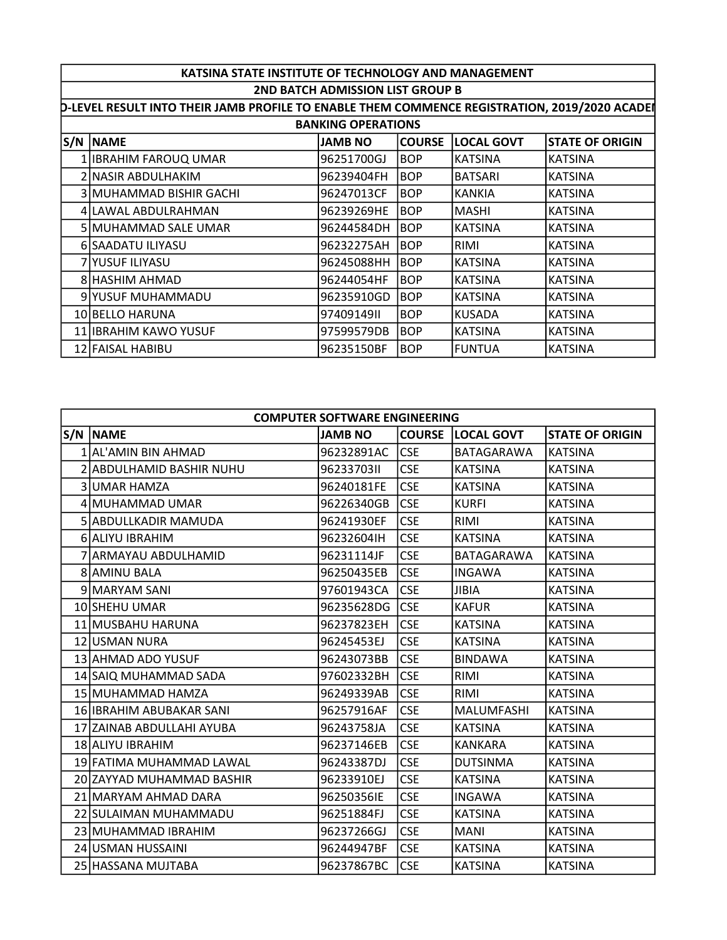| KATSINA STATE INSTITUTE OF TECHNOLOGY AND MANAGEMENT                                                 |                         |                |               |                   |                        |  |
|------------------------------------------------------------------------------------------------------|-------------------------|----------------|---------------|-------------------|------------------------|--|
| <b>2ND BATCH ADMISSION LIST GROUP B</b>                                                              |                         |                |               |                   |                        |  |
| <b>D-LEVEL RESULT INTO THEIR JAMB PROFILE TO ENABLE THEM COMMENCE REGISTRATION, 2019/2020 ACADEI</b> |                         |                |               |                   |                        |  |
| <b>BANKING OPERATIONS</b>                                                                            |                         |                |               |                   |                        |  |
|                                                                                                      | <b>S/N NAME</b>         | <b>JAMB NO</b> | <b>COURSE</b> | <b>LOCAL GOVT</b> | <b>STATE OF ORIGIN</b> |  |
|                                                                                                      | IIBRAHIM FAROUQ UMAR!   | 96251700GJ     | <b>BOP</b>    | IKATSINA          | <b>KATSINA</b>         |  |
|                                                                                                      | 2 INASIR ABDULHAKIM     | l96239404FH    | <b>BOP</b>    | <b>BATSARI</b>    | <b>KATSINA</b>         |  |
|                                                                                                      | 3 MUHAMMAD BISHIR GACHI | 96247013CF     | <b>BOP</b>    | KANKIA            | <b>KATSINA</b>         |  |
|                                                                                                      | 4 ILAWAL ABDULRAHMAN    | 96239269HE     | <b>BOP</b>    | <b>MASHI</b>      | <b>KATSINA</b>         |  |
|                                                                                                      | 5 MUHAMMAD SALE UMAR    | l96244584DH    | BOP           | IKATSINA          | <b>KATSINA</b>         |  |
|                                                                                                      | 6 SAADATU ILIYASU       | 96232275AH     | <b>BOP</b>    | RIMI              | <b>KATSINA</b>         |  |
|                                                                                                      | 7 IYUSUF ILIYASU        | 96245088HH     | <b>BOP</b>    | IKATSINA          | <b>KATSINA</b>         |  |
|                                                                                                      | 8 HASHIM AHMAD          | l96244054HF    | BOP           | IKATSINA          | <b>KATSINA</b>         |  |
|                                                                                                      | 9 YUSUF MUHAMMADU       | l96235910GD    | <b>BOP</b>    | IKATSINA          | <b>KATSINA</b>         |  |
|                                                                                                      | 10 BELLO HARUNA         | 19740914911    | <b>BOP</b>    | KUSADA            | <b>KATSINA</b>         |  |
|                                                                                                      | 11 IBRAHIM KAWO YUSUF   | 97599579DB     | <b>BOP</b>    | <b>KATSINA</b>    | <b>KATSINA</b>         |  |
|                                                                                                      | 12 FAISAL HABIBU        | 96235150BF     | <b>BOP</b>    | FUNTUA            | <b>KATSINA</b>         |  |
|                                                                                                      |                         |                |               |                   |                        |  |

| <b>COMPUTER SOFTWARE ENGINEERING</b> |                           |                |            |                          |                        |  |
|--------------------------------------|---------------------------|----------------|------------|--------------------------|------------------------|--|
|                                      | S/N NAME                  | <b>JAMB NO</b> |            | <b>COURSE LOCAL GOVT</b> | <b>STATE OF ORIGIN</b> |  |
|                                      | 1 AL'AMIN BIN AHMAD       | 96232891AC     | lcse       | <b>BATAGARAWA</b>        | <b>KATSINA</b>         |  |
|                                      | 2 ABDULHAMID BASHIR NUHU  | 9623370311     | <b>CSE</b> | <b>KATSINA</b>           | <b>KATSINA</b>         |  |
|                                      | 3 UMAR HAMZA              | 96240181FE     | <b>CSE</b> | <b>KATSINA</b>           | <b>KATSINA</b>         |  |
|                                      | 4 MUHAMMAD UMAR           | 96226340GB     | <b>CSE</b> | <b>KURFI</b>             | <b>KATSINA</b>         |  |
|                                      | 5 ABDULLKADIR MAMUDA      | 96241930EF     | <b>CSE</b> | RIMI                     | <b>KATSINA</b>         |  |
|                                      | 6 ALIYU IBRAHIM           | 96232604IH     | <b>CSE</b> | <b>KATSINA</b>           | <b>KATSINA</b>         |  |
|                                      | ARMAYAU ABDULHAMID        | 96231114JF     | <b>CSE</b> | BATAGARAWA               | <b>KATSINA</b>         |  |
|                                      | 8 AMINU BALA              | 96250435EB     | <b>CSE</b> | <b>INGAWA</b>            | <b>KATSINA</b>         |  |
|                                      | 9 MARYAM SANI             | 97601943CA     | <b>CSE</b> | <b>JIBIA</b>             | <b>KATSINA</b>         |  |
|                                      | 10 SHEHU UMAR             | 96235628DG     | <b>CSE</b> | <b>KAFUR</b>             | <b>KATSINA</b>         |  |
|                                      | 11 MUSBAHU HARUNA         | 96237823EH     | <b>CSE</b> | <b>KATSINA</b>           | <b>KATSINA</b>         |  |
|                                      | 12 IUSMAN NURA            | 96245453EJ     | <b>CSE</b> | <b>KATSINA</b>           | <b>KATSINA</b>         |  |
|                                      | 13 AHMAD ADO YUSUF        | 96243073BB     | <b>CSE</b> | <b>BINDAWA</b>           | <b>KATSINA</b>         |  |
|                                      | 14 SAIQ MUHAMMAD SADA     | 97602332BH     | <b>CSE</b> | RIMI                     | <b>KATSINA</b>         |  |
|                                      | 15 MUHAMMAD HAMZA         | 96249339AB     | <b>CSE</b> | <b>RIMI</b>              | <b>KATSINA</b>         |  |
|                                      | 16 IBRAHIM ABUBAKAR SANI  | 96257916AF     | <b>CSE</b> | MALUMFASHI               | <b>KATSINA</b>         |  |
|                                      | 17 ZAINAB ABDULLAHI AYUBA | 96243758JA     | <b>CSE</b> | <b>KATSINA</b>           | <b>KATSINA</b>         |  |
|                                      | 18 ALIYU IBRAHIM          | 96237146EB     | <b>CSE</b> | <b>KANKARA</b>           | <b>KATSINA</b>         |  |
|                                      | 19 FATIMA MUHAMMAD LAWAL  | 96243387DJ     | <b>CSE</b> | <b>DUTSINMA</b>          | <b>KATSINA</b>         |  |
|                                      | 20 ZAYYAD MUHAMMAD BASHIR | 96233910EJ     | <b>CSE</b> | <b>KATSINA</b>           | <b>KATSINA</b>         |  |
|                                      | 21 MARYAM AHMAD DARA      | 96250356IE     | <b>CSE</b> | <b>INGAWA</b>            | <b>KATSINA</b>         |  |
|                                      | 22 SULAIMAN MUHAMMADU     | 96251884FJ     | <b>CSE</b> | <b>KATSINA</b>           | <b>KATSINA</b>         |  |
|                                      | 23 MUHAMMAD IBRAHIM       | 96237266GJ     | <b>CSE</b> | <b>MANI</b>              | <b>KATSINA</b>         |  |
|                                      | 24 USMAN HUSSAINI         | 96244947BF     | <b>CSE</b> | <b>KATSINA</b>           | <b>KATSINA</b>         |  |
|                                      | 25 HASSANA MUJTABA        | 96237867BC     | <b>CSE</b> | <b>KATSINA</b>           | <b>KATSINA</b>         |  |